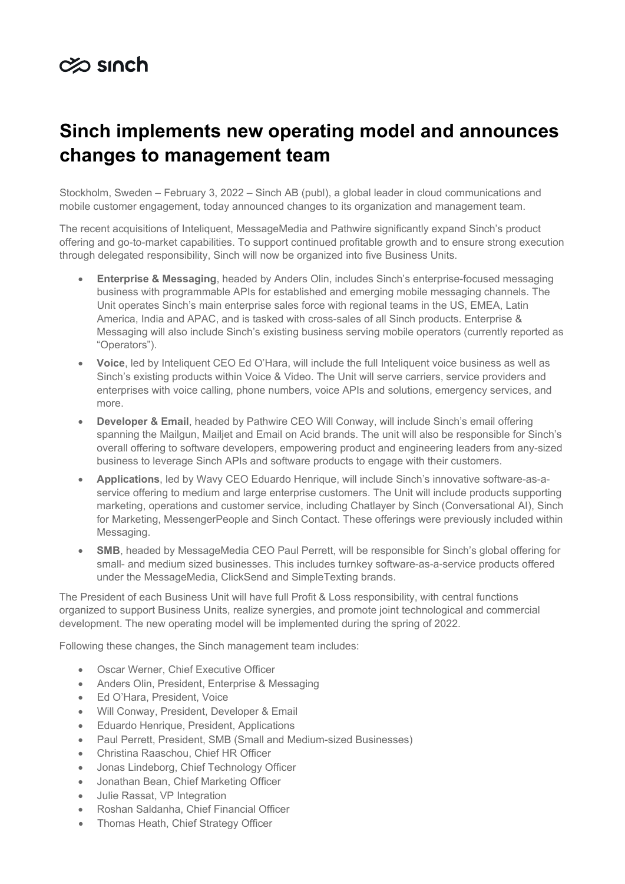## $\infty$  sinch

## **Sinch implements new operating model and announces changes to management team**

Stockholm, Sweden – February 3, 2022 – Sinch AB (publ), a global leader in cloud communications and mobile customer engagement, today announced changes to its organization and management team.

The recent acquisitions of Inteliquent, MessageMedia and Pathwire significantly expand Sinch's product offering and go-to-market capabilities. To support continued profitable growth and to ensure strong execution through delegated responsibility, Sinch will now be organized into five Business Units.

- **Enterprise & Messaging**, headed by Anders Olin, includes Sinch's enterprise-focused messaging business with programmable APIs for established and emerging mobile messaging channels. The Unit operates Sinch's main enterprise sales force with regional teams in the US, EMEA, Latin America, India and APAC, and is tasked with cross-sales of all Sinch products. Enterprise & Messaging will also include Sinch's existing business serving mobile operators (currently reported as "Operators").
- **Voice**, led by Inteliquent CEO Ed O'Hara, will include the full Inteliquent voice business as well as Sinch's existing products within Voice & Video. The Unit will serve carriers, service providers and enterprises with voice calling, phone numbers, voice APIs and solutions, emergency services, and more.
- **Developer & Email**, headed by Pathwire CEO Will Conway, will include Sinch's email offering spanning the Mailgun, Mailjet and Email on Acid brands. The unit will also be responsible for Sinch's overall offering to software developers, empowering product and engineering leaders from any-sized business to leverage Sinch APIs and software products to engage with their customers.
- **Applications**, led by Wavy CEO Eduardo Henrique, will include Sinch's innovative software-as-aservice offering to medium and large enterprise customers. The Unit will include products supporting marketing, operations and customer service, including Chatlayer by Sinch (Conversational AI), Sinch for Marketing, MessengerPeople and Sinch Contact. These offerings were previously included within Messaging.
- **SMB**, headed by MessageMedia CEO Paul Perrett, will be responsible for Sinch's global offering for small- and medium sized businesses. This includes turnkey software-as-a-service products offered under the MessageMedia, ClickSend and SimpleTexting brands.

The President of each Business Unit will have full Profit & Loss responsibility, with central functions organized to support Business Units, realize synergies, and promote joint technological and commercial development. The new operating model will be implemented during the spring of 2022.

Following these changes, the Sinch management team includes:

- Oscar Werner, Chief Executive Officer
- Anders Olin, President, Enterprise & Messaging
- Ed O'Hara, President, Voice
- Will Conway, President, Developer & Email
- Eduardo Henrique, President, Applications
- Paul Perrett, President, SMB (Small and Medium-sized Businesses)
- Christina Raaschou, Chief HR Officer
- Jonas Lindeborg, Chief Technology Officer
- Jonathan Bean, Chief Marketing Officer
- Julie Rassat, VP Integration
- Roshan Saldanha, Chief Financial Officer
- Thomas Heath, Chief Strategy Officer